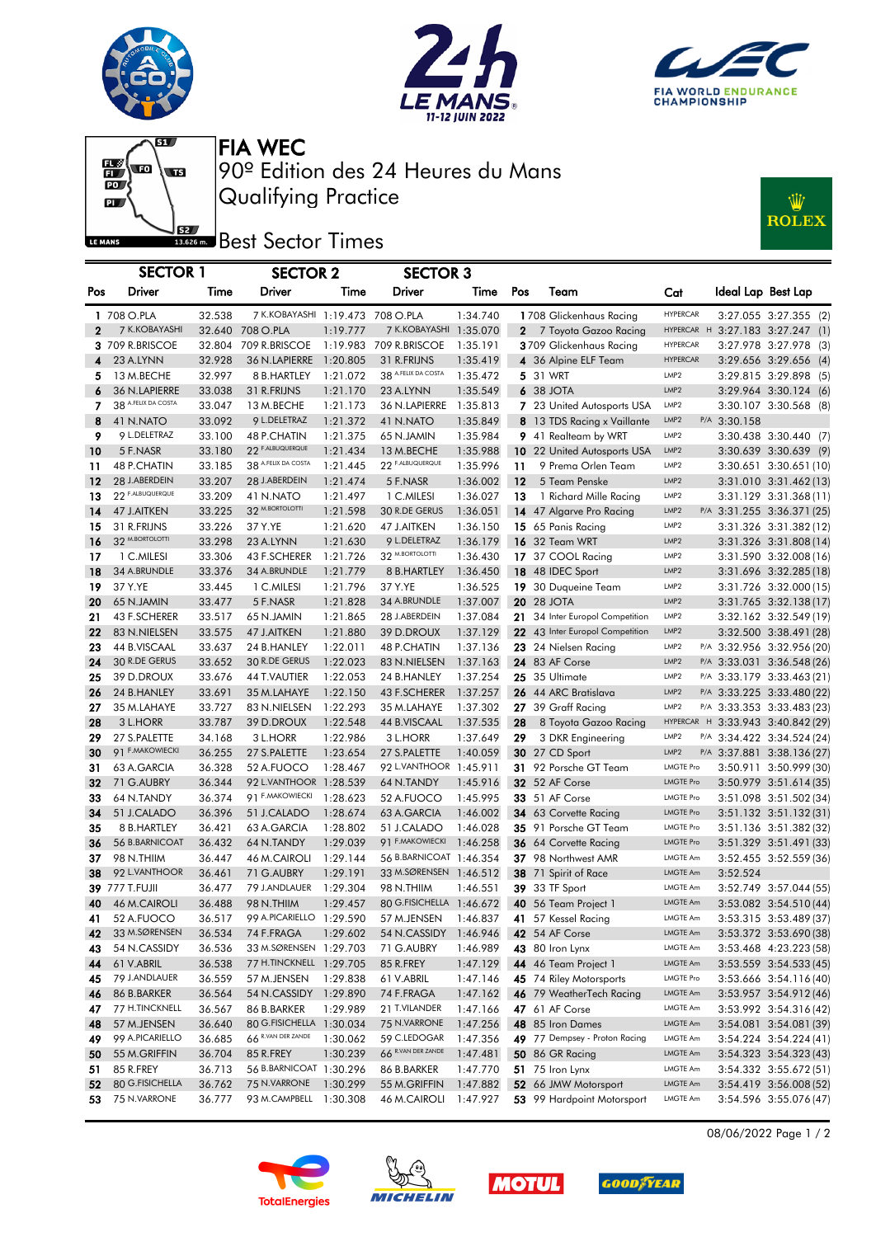





 $\mathbf{g}_{\mathbf{U}}$  $\begin{array}{c} \begin{array}{c} \text{or} \end{array} \end{array}$  $\overline{\mathbf{p}}$ LE MANS

Qualifying Practice 90º Edition des 24 Heures du Mans FIA WEC

## **J**<br>**Best Sector Times**



|              | <b>SECTOR 1</b>                 |                  | <b>SECTOR 2</b>                  |                      | <b>SECTOR 3</b>          |                      |              |                                                |                  |              |                                                          |
|--------------|---------------------------------|------------------|----------------------------------|----------------------|--------------------------|----------------------|--------------|------------------------------------------------|------------------|--------------|----------------------------------------------------------|
| Pos          | Driver                          | Time             | Driver                           | Time                 | Driver                   | Time                 | Pos          | Team                                           | Cat              |              | Ideal Lap Best Lap                                       |
|              | 1 708 O.PLA                     | 32.538           | 7 K.KOBAYASHI 1:19.473 708 O.PLA |                      |                          | 1:34.740             |              | 1708 Glickenhaus Racing                        | <b>HYPERCAR</b>  |              | 3:27.055 3:27.355 (2)                                    |
| $\mathbf{2}$ | 7 K.KOBAYASHI                   |                  | 32.640 708 O.PLA                 | 1:19.777             | 7 K.KOBAYASHI 1:35.070   |                      | $\mathbf{2}$ | 7 Toyota Gazoo Racing                          |                  |              | HYPERCAR H 3:27.183 3:27.247 (1)                         |
|              | 3 709 R.BRISCOE                 |                  | 32.804 709 R.BRISCOE             |                      | 1:19.983 709 R.BRISCOE   | 1:35.191             |              | 3709 Glickenhaus Racing                        | <b>HYPERCAR</b>  |              | 3:27.978 3:27.978 (3)                                    |
| 4            | 23 A.LYNN                       | 32.928           | 36 N.LAPIERRE                    | 1:20.805             | 31 R.FRIJNS              | 1:35.419             |              | 4 36 Alpine ELF Team                           | <b>HYPERCAR</b>  |              | 3:29.656 3:29.656 (4)                                    |
| 5            | 13 M.BECHE                      | 32.997           | 8 B.HARTLEY                      | 1:21.072             | 38 A.FELIX DA COSTA      | 1:35.472             |              | 5 31 WRT                                       | LMP <sub>2</sub> |              | 3:29.815 3:29.898 (5)                                    |
| 6            | 36 N.LAPIERRE                   | 33.038           | 31 R.FRIJNS                      | 1:21.170             | 23 A.LYNN                | 1:35.549             |              | 6 38 JOTA                                      | LMP2             |              | 3:29.964 3:30.124 (6)                                    |
| 7            | 38 A.FELIX DA COSTA             | 33.047           | 13 M.BECHE                       | 1:21.173             | 36 N.LAPIERRE            | 1:35.813             |              | 7 23 United Autosports USA                     | LMP2             |              | 3:30.107 3:30.568 (8)                                    |
| 8            | 41 N.NATO                       | 33.092           | 9 L.DELETRAZ                     | 1:21.372             | 41 N.NATO                | 1:35.849             |              | 8 13 TDS Racing x Vaillante                    | LMP <sub>2</sub> | P/A 3:30.158 |                                                          |
| 9            | 9 L.DELETRAZ                    | 33.100           | 48 P.CHATIN                      | 1:21.375             | 65 N.JAMIN               | 1:35.984             |              | 9 41 Realteam by WRT                           | LMP <sub>2</sub> |              | 3:30.438 3:30.440 (7)                                    |
| 10           | 5 F.NASR                        | 33.180           | 22 F.ALBUQUERQUE                 | 1:21.434             | 13 M.BECHE               | 1:35.988             |              | 10 22 United Autosports USA                    | LMP <sub>2</sub> |              | 3:30.639 3:30.639 (9)                                    |
| 11           | 48 P.CHATIN                     | 33.185           | 38 A.FELIX DA COSTA              | 1:21.445             | 22 F.ALBUQUERQUE         | 1:35.996             | 11           | 9 Prema Orlen Team                             | LMP <sub>2</sub> |              | 3:30.651 3:30.651 (10)                                   |
| 12           | 28 J.ABERDEIN                   | 33.207           | 28 J.ABERDEIN                    | 1:21.474             | 5 F.NASR                 | 1:36.002             | 12           | 5 Team Penske                                  | LMP <sub>2</sub> |              | 3:31.010 3:31.462 (13)                                   |
| 13           | 22 F.ALBUQUERQUE                | 33.209           | 41 N.NATO                        | 1:21.497             | 1 C.MILESI               | 1:36.027             | 13           | 1 Richard Mille Racing                         | LMP <sub>2</sub> |              | 3:31.129 3:31.368(11)                                    |
| 14           | 47 J.AITKEN                     | 33.225           | 32 M.BORTOLOTTI                  | 1:21.598             | 30 R.DE GERUS            | 1:36.051             |              | 14 47 Algarve Pro Racing                       | LMP2             |              | P/A 3:31.255 3:36.371 (25)                               |
| 15           | 31 R.FRIJNS                     | 33.226           | 37 Y.YE                          | 1:21.620             | 47 J.AITKEN              | 1:36.150             |              | 15 65 Panis Racing                             | LMP <sub>2</sub> |              | 3:31.326 3:31.382 (12)                                   |
| 16           | 32 M.BORTOLOTTI                 | 33.298           | 23 A.LYNN                        | 1:21.630             | 9 L.DELETRAZ             | 1:36.179             |              | <b>16</b> 32 Team WRT                          | LMP <sub>2</sub> |              | 3:31.326 3:31.808 (14)                                   |
| 17           | 1 C.MILESI                      | 33.306           | 43 F.SCHERER                     | 1:21.726             | 32 M.BORTOLOTTI          | 1:36.430             |              | 17 37 COOL Racing                              | LMP <sub>2</sub> |              | 3:31.590 3:32.008 (16)                                   |
| 18           | 34 A.BRUNDLE                    | 33.376           | 34 A.BRUNDLE                     | 1:21.779             | 8 B.HARTLEY              | 1:36.450             |              | 18 48 IDEC Sport                               | LMP <sub>2</sub> |              | 3:31.696 3:32.285 (18)                                   |
| 19           | 37 Y.YE                         | 33.445           | 1 C.MILESI                       | 1:21.796             | 37 Y.YE                  | 1:36.525             |              | 19 30 Duqueine Team                            | LMP <sub>2</sub> |              | 3:31.726 3:32.000 (15)                                   |
| 20           | 65 N.JAMIN                      | 33.477           | 5 F.NASR                         | 1:21.828             | 34 A.BRUNDLE             | 1:37.007             |              | <b>20 28 JOTA</b>                              | LMP <sub>2</sub> |              | 3:31.765 3:32.138 (17)                                   |
| 21           | 43 F.SCHERER                    | 33.517           | 65 N.JAMIN                       | 1:21.865             | 28 J.ABERDEIN            | 1:37.084             | 21.          | 34 Inter Europol Competition                   | LMP <sub>2</sub> |              | 3:32.162 3:32.549 (19)                                   |
| 22           | 83 N.NIELSEN                    | 33.575           | 47 J.AITKEN                      | 1:21.880             | 39 D.DROUX               | 1:37.129             |              | 22 43 Inter Europol Competition                | LMP <sub>2</sub> |              | 3:32.500 3:38.491 (28)                                   |
| 23           | 44 B.VISCAAL                    | 33.637           | 24 B.HANLEY                      | 1:22.011             | 48 P.CHATIN              | 1:37.136             |              | 23 24 Nielsen Racing                           | LMP <sub>2</sub> |              | P/A 3:32.956 3:32.956 (20)                               |
| 24           | 30 R.DE GERUS                   | 33.652           | 30 R.DE GERUS                    | 1:22.023             | 83 N.NIELSEN             | 1:37.163             |              | 24 83 AF Corse                                 | LMP2             |              | P/A 3:33.031 3:36.548 (26)                               |
| 25           | 39 D.DROUX                      | 33.676           | 44 T.VAUTIER                     | 1:22.053             | 24 B.HANLEY              | 1:37.254             |              | 25 35 Ultimate                                 | LMP2             |              | P/A 3:33.179 3:33.463 (21)                               |
| 26           | 24 B.HANLEY                     | 33.691           | 35 M.LAHAYE                      | 1:22.150             | 43 F.SCHERER             | 1:37.257             |              | 26 44 ARC Bratislava                           | LMP2             |              | P/A 3:33.225 3:33.480 (22)                               |
| 27           | 35 M.LAHAYE                     | 33.727           | 83 N.NIELSEN                     | 1:22.293             | 35 M.LAHAYE              | 1:37.302             |              | 27 39 Graff Racing                             | LMP <sub>2</sub> |              | P/A 3:33.353 3:33.483 (23)                               |
| 28           | 3 L.HORR                        | 33.787           | 39 D.DROUX                       | 1:22.548             | 44 B.VISCAAL             | 1:37.535             | 28           | 8 Toyota Gazoo Racing                          | LMP2             |              | HYPERCAR H 3:33.943 3:40.842 (29)                        |
| 29<br>30     | 27 S.PALETTE<br>91 F.MAKOWIECKI | 34.168           | 3 L.HORR                         | 1:22.986<br>1:23.654 | 3 L.HORR<br>27 S.PALETTE | 1:37.649<br>1:40.059 | 29           | 3 DKR Engineering                              | LMP2             |              | P/A 3:34.422 3:34.524 (24)<br>P/A 3:37.881 3:38.136 (27) |
| 31           | 63 A.GARCIA                     | 36.255<br>36.328 | 27 S.PALETTE<br>52 A.FUOCO       | 1:28.467             | 92 L.VANTHOOR 1:45.911   |                      |              | <b>30</b> 27 CD Sport<br>31 92 Porsche GT Team | <b>LMGTE Pro</b> |              | 3:50.911 3:50.999 (30)                                   |
| 32           | 71 G.AUBRY                      | 36.344           | 92 L.VANTHOOR 1:28.539           |                      | 64 N.TANDY               | 1:45.916             |              | 32 52 AF Corse                                 | <b>LMGTE Pro</b> |              | 3:50.979 3:51.614 (35)                                   |
| 33           | 64 N.TANDY                      | 36.374           | 91 F.MAKOWIECKI                  | 1:28.623             | 52 A.FUOCO               | 1:45.995             |              | <b>33</b> 51 AF Corse                          | <b>LMGTE Pro</b> |              | 3:51.098 3:51.502 (34)                                   |
| 34           | 51 J.CALADO                     | 36.396           | 51 J.CALADO                      | 1:28.674             | 63 A.GARCIA              | 1:46.002             |              | 34 63 Corvette Racing                          | <b>LMGTE Pro</b> |              | 3:51.132 3:51.132 (31)                                   |
| 35           | 8 B.HARTLEY                     | 36.421           | 63 A.GARCIA                      | 1:28.802             | 51 J.CALADO              | 1:46.028             |              | 35 91 Porsche GT Team                          | LMGTE Pro        |              | 3:51.136 3:51.382 (32)                                   |
| 36           | 56 B.BARNICOAT                  | 36.432           | 64 N.TANDY                       | 1:29.039             | 91 F.MAKOWIECKI          | 1:46.258             |              | 36 64 Corvette Racing                          | <b>LMGTE Pro</b> |              | 3:51.329 3:51.491 (33)                                   |
| 37           | 98 N.THIIM                      | 36.447           | 46 M.CAIROLI                     | 1:29.144             | 56 B.BARNICOAT 1:46.354  |                      |              | 37 98 Northwest AMR                            | LMGTE Am         |              | 3:52.455 3:52.559 (36)                                   |
| 38           | 92 L.VANTHOOR                   | 36.461           | 71 G.AUBRY                       | 1:29.191             | 33 M.SØRENSEN 1:46.512   |                      |              | 38 71 Spirit of Race                           | LMGTE Am         | 3:52.524     |                                                          |
|              | 39 777 T.FUJII                  | 36.477           | 79 J.ANDLAUER                    | 1:29.304             | 98 N.THIIM               | 1:46.551             |              | 39 33 TF Sport                                 | LMGTE Am         |              | 3:52.749 3:57.044 (55)                                   |
| 40           | 46 M.CAIROLI                    | 36.488           | 98 N.THIIM                       | 1:29.457             | 80 G.FISICHELLA 1:46.672 |                      |              | 40 56 Team Project 1                           | LMGTE Am         |              | 3:53.082 3:54.510 (44)                                   |
| 41           | 52 A.FUOCO                      | 36.517           | 99 A.PICARIELLO 1:29.590         |                      |                          |                      |              | 57 M.JENSEN  1:46.837  41  57 Kessel Racing    | LMGTE Am         |              | 3:53.315 3:53.489 (37)                                   |
| 42           | 33 M.SØRENSEN                   | 36.534           | 74 F.FRAGA                       | 1:29.602             | 54 N.CASSIDY             | 1:46.946             |              | 42 54 AF Corse                                 | LMGTE Am         |              | 3:53.372 3:53.690 (38)                                   |
| 43           | 54 N.CASSIDY                    | 36.536           | 33 M.SØRENSEN 1:29.703           |                      | 71 G.AUBRY               | 1:46.989             |              | 43 80 Iron Lynx                                | LMGTE Am         |              | 3:53.468 4:23.223 (58)                                   |
| 44           | 61 V.ABRIL                      | 36.538           | 77 H.TINCKNELL 1:29.705          |                      | 85 R.FREY                | 1:47.129             |              | 44 46 Team Project 1                           | LMGTE Am         |              | 3:53.559 3:54.533 (45)                                   |
| 45           | 79 J.ANDLAUER                   | 36.559           | 57 M.JENSEN                      | 1:29.838             | 61 V.ABRIL               | 1:47.146             |              | 45 74 Riley Motorsports                        | <b>LMGTE Pro</b> |              | 3:53.666 3:54.116 (40)                                   |
| 46           | 86 B.BARKER                     | 36.564           | 54 N.CASSIDY                     | 1:29.890             | 74 F.FRAGA               | 1:47.162             |              | 46 79 WeatherTech Racing                       | LMGTE Am         |              | 3:53.957 3:54.912 (46)                                   |
| 47           | 77 H.TINCKNELL                  | 36.567           | 86 B.BARKER                      | 1:29.989             | 21 T.VILANDER            | 1:47.166             |              | 47 61 AF Corse                                 | LMGTE Am         |              | 3:53.992 3:54.316 (42)                                   |
| 48           | 57 M.JENSEN                     | 36.640           | 80 G.FISICHELLA 1:30.034         |                      | 75 N.VARRONE             | 1:47.256             |              | 48 85 Iron Dames                               | LMGTE Am         |              | 3:54.081 3:54.081 (39)                                   |
| 49           | 99 A.PICARIELLO                 | 36.685           | 66 R.VAN DER ZANDE               | 1:30.062             | 59 C.LEDOGAR             | 1:47.356             |              | 49 77 Dempsey - Proton Racing                  | LMGTE Am         |              | 3:54.224 3:54.224 (41)                                   |
| 50           | 55 M.GRIFFIN                    | 36.704           | 85 R.FREY                        | 1:30.239             | 66 R.VAN DER ZANDE       | 1:47.481             |              | <b>50</b> 86 GR Racing                         | LMGTE Am         |              | 3:54.323 3:54.323 (43)                                   |
| 51           | 85 R.FREY                       | 36.713           | 56 B.BARNICOAT 1:30.296          |                      | 86 B.BARKER              | 1:47.770             |              | 51 75 Iron Lynx                                | <b>LMGTE Am</b>  |              | 3:54.332 3:55.672 (51)                                   |
| 52           | 80 G.FISICHELLA                 | 36.762           | 75 N.VARRONE                     | 1:30.299             | 55 M.GRIFFIN             | 1:47.882             |              | 52 66 JMW Motorsport                           | LMGTE Am         |              | 3:54.419 3:56.008 (52)                                   |
| 53           | 75 N.VARRONE                    | 36.777           | 93 M.CAMPBELL 1:30.308           |                      | 46 M.CAIROLI             | 1:47.927             |              | 53 99 Hardpoint Motorsport                     | LMGTE Am         |              | 3:54.596 3:55.076 (47)                                   |









08/06/2022 Page 1 / 2